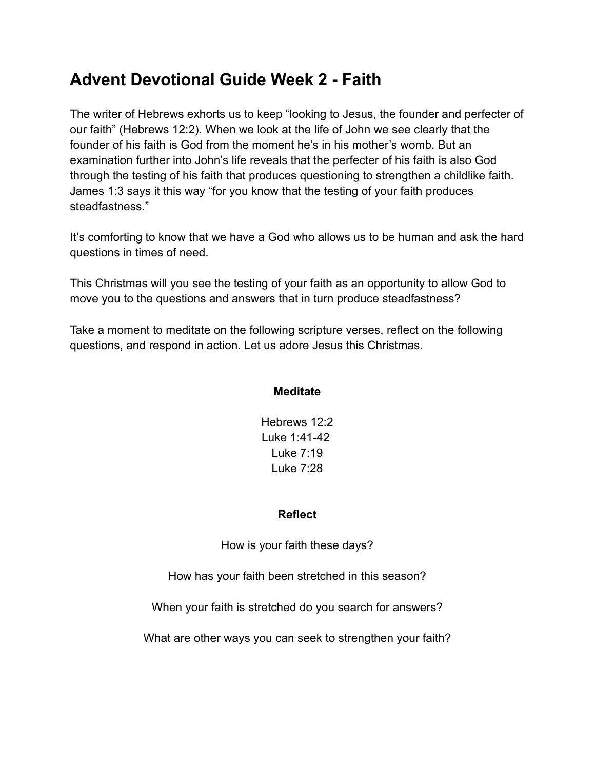# **Advent Devotional Guide Week 2 - Faith**

The writer of Hebrews exhorts us to keep "looking to Jesus, the founder and perfecter of our faith" (Hebrews 12:2). When we look at the life of John we see clearly that the founder of his faith is God from the moment he's in his mother's womb. But an examination further into John's life reveals that the perfecter of his faith is also God through the testing of his faith that produces questioning to strengthen a childlike faith. James 1:3 says it this way "for you know that the testing of your faith produces steadfastness."

It's comforting to know that we have a God who allows us to be human and ask the hard questions in times of need.

This Christmas will you see the testing of your faith as an opportunity to allow God to move you to the questions and answers that in turn produce steadfastness?

Take a moment to meditate on the following scripture verses, reflect on the following questions, and respond in action. Let us adore Jesus this Christmas.

## **Meditate**

Hebrews 12:2 Luke 1:41-42 Luke 7:19 Luke 7:28

## **Reflect**

How is your faith these days?

How has your faith been stretched in this season?

When your faith is stretched do you search for answers?

What are other ways you can seek to strengthen your faith?